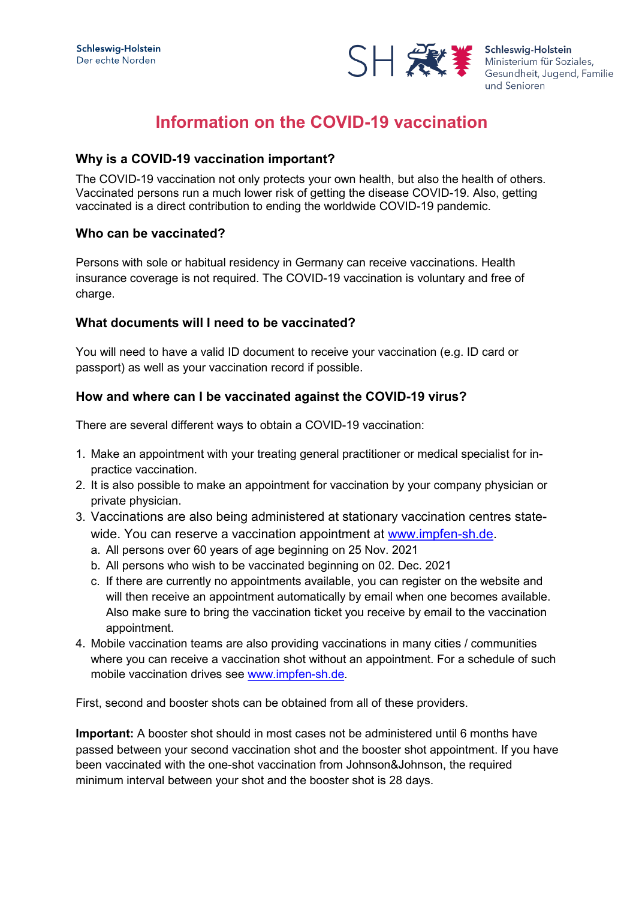

Schleswig-Holstein Gesundheit, Jugend, Familie und Senioren

# **Information on the COVID-19 vaccination**

### **Why is a COVID-19 vaccination important?**

The COVID-19 vaccination not only protects your own health, but also the health of others. Vaccinated persons run a much lower risk of getting the disease COVID-19. Also, getting vaccinated is a direct contribution to ending the worldwide COVID-19 pandemic.

#### **Who can be vaccinated?**

Persons with sole or habitual residency in Germany can receive vaccinations. Health insurance coverage is not required. The COVID-19 vaccination is voluntary and free of charge.

### **What documents will I need to be vaccinated?**

You will need to have a valid ID document to receive your vaccination (e.g. ID card or passport) as well as your vaccination record if possible.

### **How and where can I be vaccinated against the COVID-19 virus?**

There are several different ways to obtain a COVID-19 vaccination:

- 1. Make an appointment with your treating general practitioner or medical specialist for inpractice vaccination.
- 2. It is also possible to make an appointment for vaccination by your company physician or private physician.
- 3. Vaccinations are also being administered at stationary vaccination centres statewide. You can reserve a vaccination appointment at [www.impfen-sh.de.](http://www.impfen-sh.de/)
	- a. All persons over 60 years of age beginning on 25 Nov. 2021
	- b. All persons who wish to be vaccinated beginning on 02. Dec. 2021
	- c. If there are currently no appointments available, you can register on the website and will then receive an appointment automatically by email when one becomes available. Also make sure to bring the vaccination ticket you receive by email to the vaccination appointment.
- 4. Mobile vaccination teams are also providing vaccinations in many cities / communities where you can receive a vaccination shot without an appointment. For a schedule of such mobile vaccination drives see [www.impfen-sh.de.](http://www.impfen-sh.de/)

First, second and booster shots can be obtained from all of these providers.

**Important:** A booster shot should in most cases not be administered until 6 months have passed between your second vaccination shot and the booster shot appointment. If you have been vaccinated with the one-shot vaccination from Johnson&Johnson, the required minimum interval between your shot and the booster shot is 28 days.